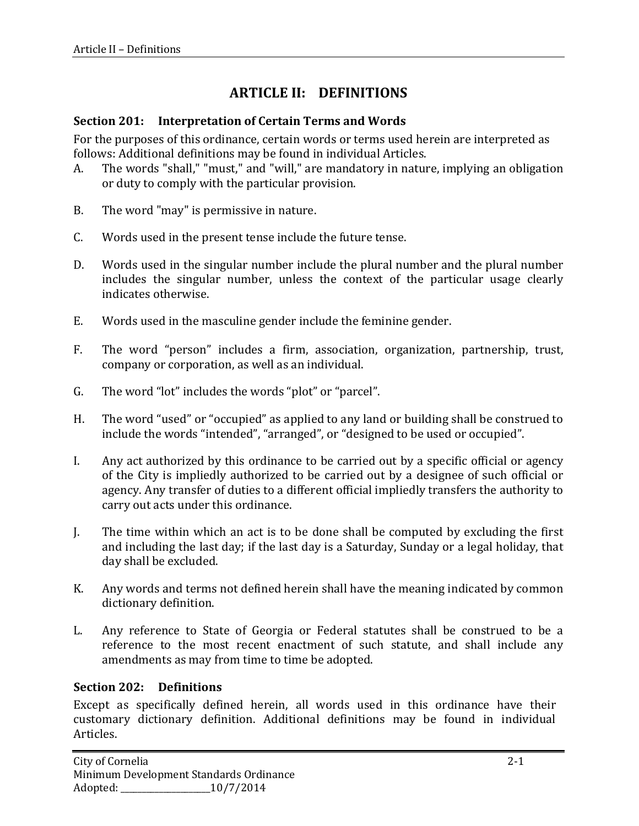## **ARTICLE II: DEFINITIONS**

## **Section 201: Interpretation of Certain Terms and Words**

For the purposes of this ordinance, certain words or terms used herein are interpreted as follows: Additional definitions may be found in individual Articles.<br>A. The words "shall." "must." and "will." are mandatory in natur

- The words "shall," "must," and "will," are mandatory in nature, implying an obligation or duty to comply with the particular provision.
- B. The word "may" is permissive in nature.
- C. Words used in the present tense include the future tense.
- D. Words used in the singular number include the plural number and the plural number includes the singular number, unless the context of the particular usage clearly indicates otherwise.
- E. Words used in the masculine gender include the feminine gender.
- F. The word "person" includes a firm, association, organization, partnership, trust, company or corporation, as well as an individual.
- G. The word "lot" includes the words "plot" or "parcel".
- H. The word "used" or "occupied" as applied to any land or building shall be construed to include the words "intended", "arranged", or "designed to be used or occupied".
- I. Any act authorized by this ordinance to be carried out by a specific official or agency of the City is impliedly authorized to be carried out by a designee of such official or agency. Any transfer of duties to a different official impliedly transfers the authority to carry out acts under this ordinance.
- J. The time within which an act is to be done shall be computed by excluding the first and including the last day; if the last day is a Saturday, Sunday or a legal holiday, that day shall be excluded.
- K. Any words and terms not defined herein shall have the meaning indicated by common dictionary definition.
- L. Any reference to State of Georgia or Federal statutes shall be construed to be a reference to the most recent enactment of such statute, and shall include any amendments as may from time to time be adopted.

## **Section 202: Definitions**

Except as specifically defined herein, all words used in this ordinance have their customary dictionary definition. Additional definitions may be found in individual Articles.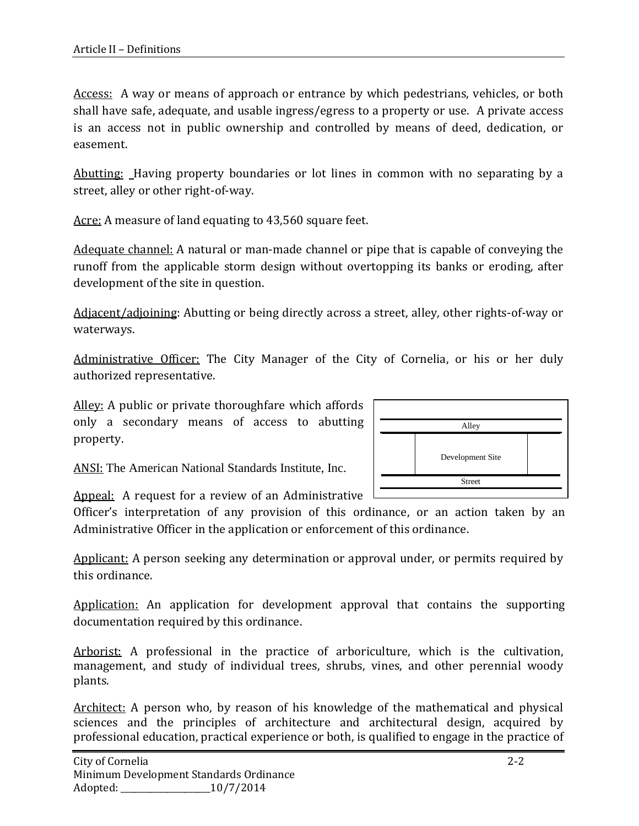Access: A way or means of approach or entrance by which pedestrians, vehicles, or both shall have safe, adequate, and usable ingress/egress to a property or use. A private access is an access not in public ownership and controlled by means of deed, dedication, or easement.

Abutting: Having property boundaries or lot lines in common with no separating by a street, alley or other right-of-way.

Acre: A measure of land equating to 43,560 square feet.

Adequate channel: A natural or man-made channel or pipe that is capable of conveying the runoff from the applicable storm design without overtopping its banks or eroding, after development of the site in question.

Adjacent/adjoining: Abutting or being directly across a street, alley, other rights-of-way or waterways.

Administrative Officer: The City Manager of the City of Cornelia, or his or her duly authorized representative.

Alley: A public or private thoroughfare which affords only a secondary means of access to abutting property.

| Alley         |                  |  |
|---------------|------------------|--|
|               | Development Site |  |
| <b>Street</b> |                  |  |
|               |                  |  |

ANSI: The American National Standards Institute, Inc.

Appeal: A request for a review of an Administrative  $\Box$ 

Officer's interpretation of any provision of this ordinance, or an action taken by an Administrative Officer in the application or enforcement of this ordinance.

Applicant: A person seeking any determination or approval under, or permits required by this ordinance.

Application: An application for development approval that contains the supporting documentation required by this ordinance.

Arborist: A professional in the practice of arboriculture, which is the cultivation, management, and study of individual trees, shrubs, vines, and other perennial woody plants.

Architect: A person who, by reason of his knowledge of the mathematical and physical sciences and the principles of architecture and architectural design, acquired by professional education, practical experience or both, is qualified to engage in the practice of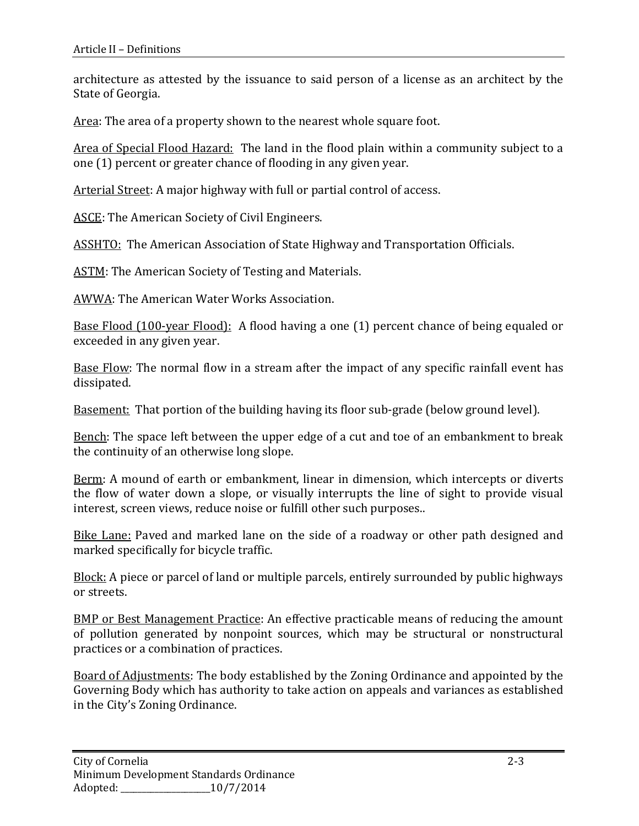architecture as attested by the issuance to said person of a license as an architect by the State of Georgia.

Area: The area of a property shown to the nearest whole square foot.

Area of Special Flood Hazard: The land in the flood plain within a community subject to a one (1) percent or greater chance of flooding in any given year.

Arterial Street: A major highway with full or partial control of access.

ASCE: The American Society of Civil Engineers.

ASSHTO: The American Association of State Highway and Transportation Officials.

ASTM: The American Society of Testing and Materials.

AWWA: The American Water Works Association.

Base Flood (100-year Flood): A flood having a one (1) percent chance of being equaled or exceeded in any given year.

Base Flow: The normal flow in a stream after the impact of any specific rainfall event has dissipated.

Basement: That portion of the building having its floor sub-grade (below ground level).

Bench: The space left between the upper edge of a cut and toe of an embankment to break the continuity of an otherwise long slope.

Berm: A mound of earth or embankment, linear in dimension, which intercepts or diverts the flow of water down a slope, or visually interrupts the line of sight to provide visual interest, screen views, reduce noise or fulfill other such purposes..

Bike Lane: Paved and marked lane on the side of a roadway or other path designed and marked specifically for bicycle traffic.

Block: A piece or parcel of land or multiple parcels, entirely surrounded by public highways or streets.

BMP or Best Management Practice: An effective practicable means of reducing the amount of pollution generated by nonpoint sources, which may be structural or nonstructural practices or a combination of practices.

Board of Adjustments: The body established by the Zoning Ordinance and appointed by the Governing Body which has authority to take action on appeals and variances as established in the City's Zoning Ordinance.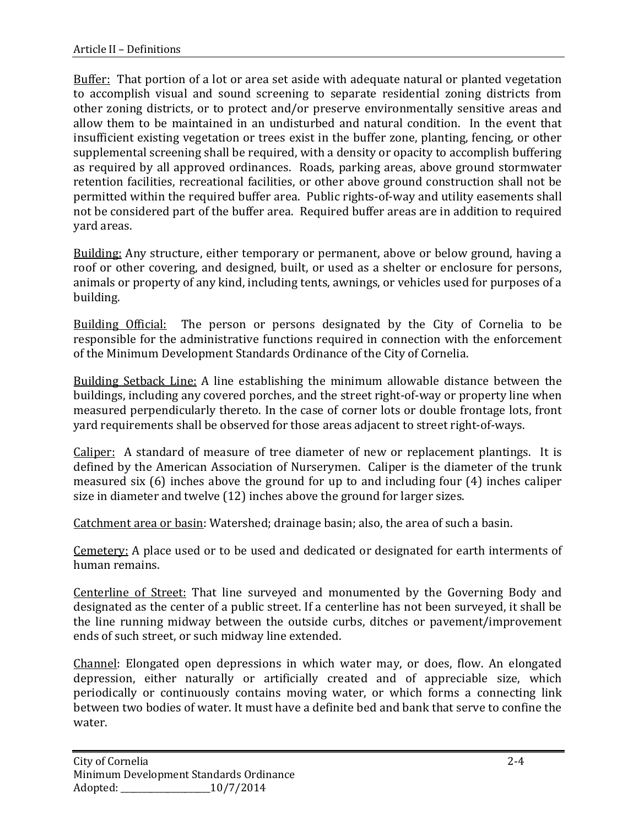Buffer: That portion of a lot or area set aside with adequate natural or planted vegetation to accomplish visual and sound screening to separate residential zoning districts from other zoning districts, or to protect and/or preserve environmentally sensitive areas and allow them to be maintained in an undisturbed and natural condition. In the event that insufficient existing vegetation or trees exist in the buffer zone, planting, fencing, or other supplemental screening shall be required, with a density or opacity to accomplish buffering as required by all approved ordinances. Roads, parking areas, above ground stormwater retention facilities, recreational facilities, or other above ground construction shall not be permitted within the required buffer area. Public rights-of-way and utility easements shall not be considered part of the buffer area. Required buffer areas are in addition to required yard areas.

Building: Any structure, either temporary or permanent, above or below ground, having a roof or other covering, and designed, built, or used as a shelter or enclosure for persons, animals or property of any kind, including tents, awnings, or vehicles used for purposes of a building.

Building Official: The person or persons designated by the City of Cornelia to be responsible for the administrative functions required in connection with the enforcement of the Minimum Development Standards Ordinance of the City of Cornelia.

Building Setback Line: A line establishing the minimum allowable distance between the buildings, including any covered porches, and the street right-of-way or property line when measured perpendicularly thereto. In the case of corner lots or double frontage lots, front yard requirements shall be observed for those areas adjacent to street right-of-ways.

Caliper: A standard of measure of tree diameter of new or replacement plantings. It is defined by the American Association of Nurserymen. Caliper is the diameter of the trunk measured six (6) inches above the ground for up to and including four (4) inches caliper size in diameter and twelve (12) inches above the ground for larger sizes.

Catchment area or basin: Watershed; drainage basin; also, the area of such a basin.

Cemetery: A place used or to be used and dedicated or designated for earth interments of human remains.

Centerline of Street: That line surveyed and monumented by the Governing Body and designated as the center of a public street. If a centerline has not been surveyed, it shall be the line running midway between the outside curbs, ditches or pavement/improvement ends of such street, or such midway line extended.

Channel: Elongated open depressions in which water may, or does, flow. An elongated depression, either naturally or artificially created and of appreciable size, which periodically or continuously contains moving water, or which forms a connecting link between two bodies of water. It must have a definite bed and bank that serve to confine the water.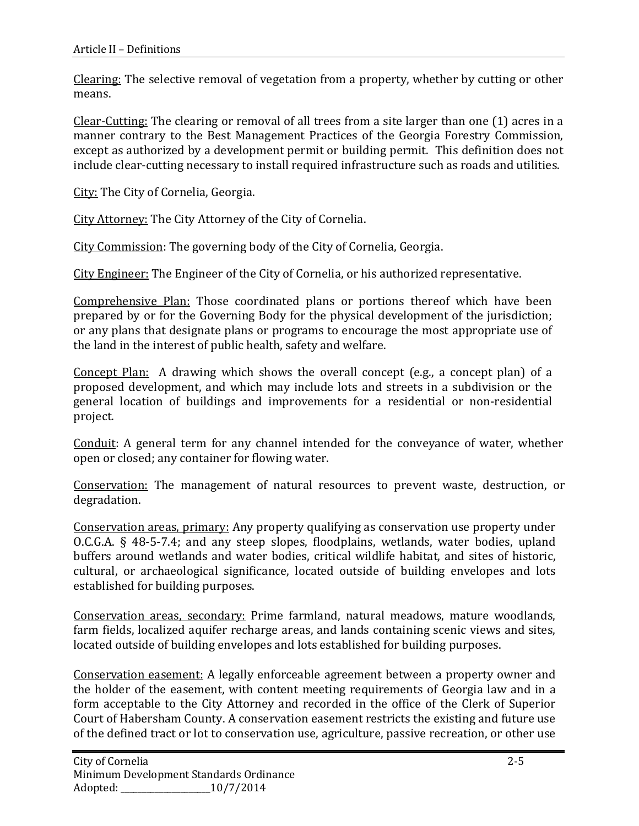Clearing: The selective removal of vegetation from a property, whether by cutting or other means.

Clear-Cutting: The clearing or removal of all trees from a site larger than one (1) acres in a manner contrary to the Best Management Practices of the Georgia Forestry Commission, except as authorized by a development permit or building permit. This definition does not include clear-cutting necessary to install required infrastructure such as roads and utilities.

City: The City of Cornelia, Georgia.

City Attorney: The City Attorney of the City of Cornelia.

City Commission: The governing body of the City of Cornelia, Georgia.

City Engineer: The Engineer of the City of Cornelia, or his authorized representative.

Comprehensive Plan: Those coordinated plans or portions thereof which have been prepared by or for the Governing Body for the physical development of the jurisdiction; or any plans that designate plans or programs to encourage the most appropriate use of the land in the interest of public health, safety and welfare.

Concept Plan: A drawing which shows the overall concept (e.g., a concept plan) of a proposed development, and which may include lots and streets in a subdivision or the general location of buildings and improvements for a residential or non-residential project.

Conduit: A general term for any channel intended for the conveyance of water, whether open or closed; any container for flowing water.

Conservation: The management of natural resources to prevent waste, destruction, or degradation.

Conservation areas, primary: Any property qualifying as conservation use property under O.C.G.A. § 48-5-7.4; and any steep slopes, floodplains, wetlands, water bodies, upland buffers around wetlands and water bodies, critical wildlife habitat, and sites of historic, cultural, or archaeological significance, located outside of building envelopes and lots established for building purposes.

Conservation areas, secondary: Prime farmland, natural meadows, mature woodlands, farm fields, localized aquifer recharge areas, and lands containing scenic views and sites, located outside of building envelopes and lots established for building purposes.

Conservation easement: A legally enforceable agreement between a property owner and the holder of the easement, with content meeting requirements of Georgia law and in a form acceptable to the City Attorney and recorded in the office of the Clerk of Superior Court of Habersham County. A conservation easement restricts the existing and future use of the defined tract or lot to conservation use, agriculture, passive recreation, or other use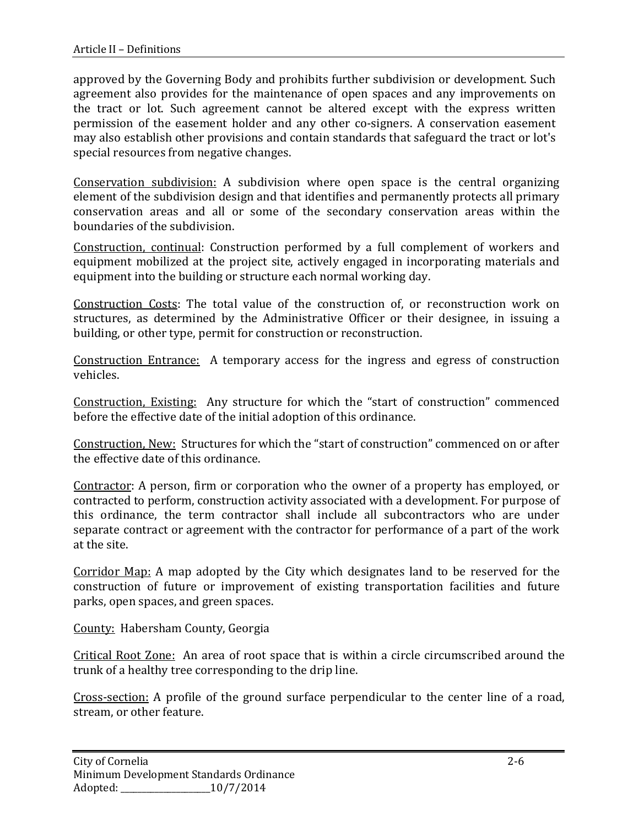approved by the Governing Body and prohibits further subdivision or development. Such agreement also provides for the maintenance of open spaces and any improvements on the tract or lot. Such agreement cannot be altered except with the express written permission of the easement holder and any other co-signers. A conservation easement may also establish other provisions and contain standards that safeguard the tract or lot's special resources from negative changes.

Conservation subdivision: A subdivision where open space is the central organizing element of the subdivision design and that identifies and permanently protects all primary conservation areas and all or some of the secondary conservation areas within the boundaries of the subdivision.

Construction, continual: Construction performed by a full complement of workers and equipment mobilized at the project site, actively engaged in incorporating materials and equipment into the building or structure each normal working day.

Construction Costs: The total value of the construction of, or reconstruction work on structures, as determined by the Administrative Officer or their designee, in issuing a building, or other type, permit for construction or reconstruction.

Construction Entrance: A temporary access for the ingress and egress of construction vehicles.

Construction, Existing: Any structure for which the "start of construction" commenced before the effective date of the initial adoption of this ordinance.

Construction, New: Structures for which the "start of construction" commenced on or after the effective date of this ordinance.

Contractor: A person, firm or corporation who the owner of a property has employed, or contracted to perform, construction activity associated with a development. For purpose of this ordinance, the term contractor shall include all subcontractors who are under separate contract or agreement with the contractor for performance of a part of the work at the site.

Corridor Map: A map adopted by the City which designates land to be reserved for the construction of future or improvement of existing transportation facilities and future parks, open spaces, and green spaces.

County: Habersham County, Georgia

Critical Root Zone: An area of root space that is within a circle circumscribed around the trunk of a healthy tree corresponding to the drip line.

Cross-section: A profile of the ground surface perpendicular to the center line of a road, stream, or other feature.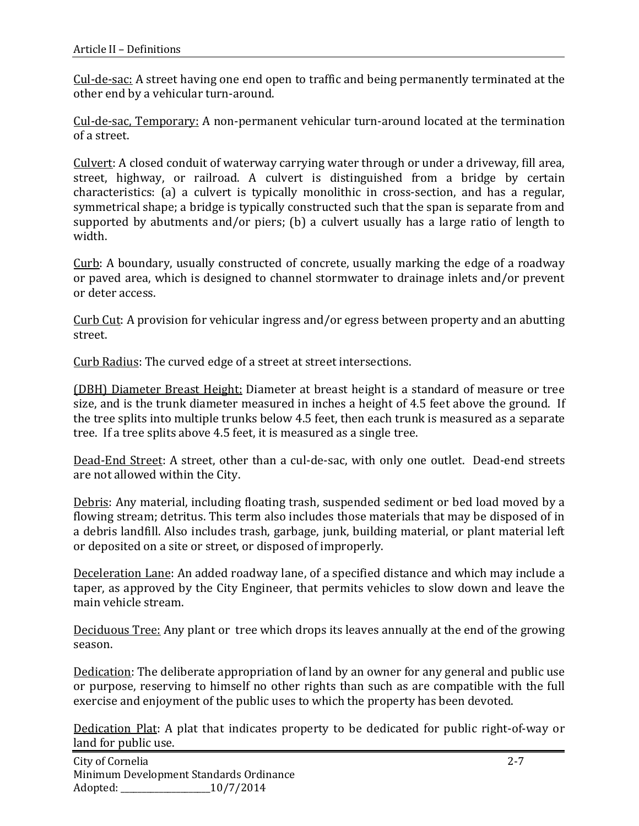Cul-de-sac: A street having one end open to traffic and being permanently terminated at the other end by a vehicular turn-around.

Cul-de-sac, Temporary: A non-permanent vehicular turn-around located at the termination of a street.

Culvert: A closed conduit of waterway carrying water through or under a driveway, fill area, street, highway, or railroad. A culvert is distinguished from a bridge by certain characteristics: (a) a culvert is typically monolithic in cross-section, and has a regular, symmetrical shape; a bridge is typically constructed such that the span is separate from and supported by abutments and/or piers; (b) a culvert usually has a large ratio of length to width.

Curb: A boundary, usually constructed of concrete, usually marking the edge of a roadway or paved area, which is designed to channel stormwater to drainage inlets and/or prevent or deter access.

Curb Cut: A provision for vehicular ingress and/or egress between property and an abutting street.

Curb Radius: The curved edge of a street at street intersections.

(DBH) Diameter Breast Height: Diameter at breast height is a standard of measure or tree size, and is the trunk diameter measured in inches a height of 4.5 feet above the ground. If the tree splits into multiple trunks below 4.5 feet, then each trunk is measured as a separate tree. If a tree splits above 4.5 feet, it is measured as a single tree.

Dead-End Street: A street, other than a cul-de-sac, with only one outlet. Dead-end streets are not allowed within the City.

Debris: Any material, including floating trash, suspended sediment or bed load moved by a flowing stream; detritus. This term also includes those materials that may be disposed of in a debris landfill. Also includes trash, garbage, junk, building material, or plant material left or deposited on a site or street, or disposed of improperly.

Deceleration Lane: An added roadway lane, of a specified distance and which may include a taper, as approved by the City Engineer, that permits vehicles to slow down and leave the main vehicle stream.

Deciduous Tree: Any plant or tree which drops its leaves annually at the end of the growing season.

Dedication: The deliberate appropriation of land by an owner for any general and public use or purpose, reserving to himself no other rights than such as are compatible with the full exercise and enjoyment of the public uses to which the property has been devoted.

Dedication Plat: A plat that indicates property to be dedicated for public right-of-way or land for public use.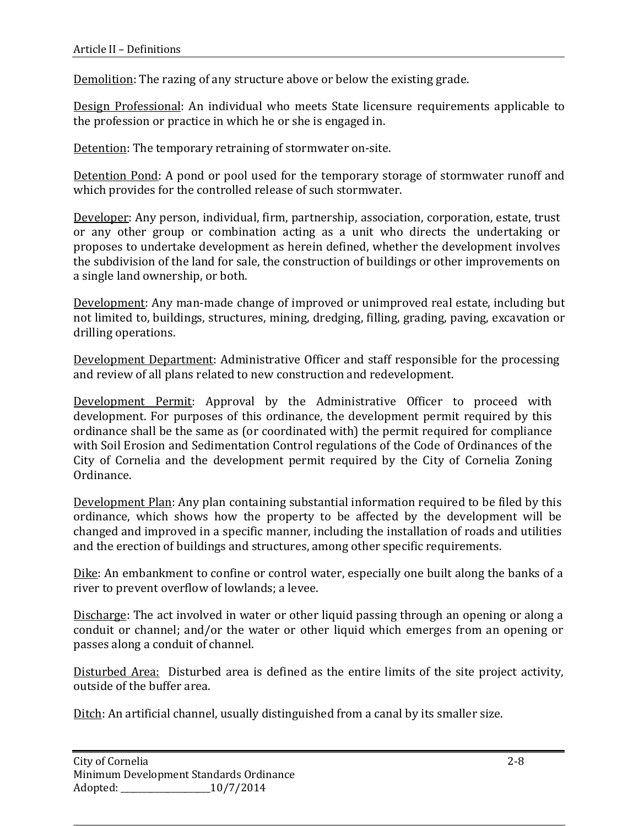Demolition: The razing of any structure above or below the existing grade.

Design Professional: An individual who meets State licensure requirements applicable to the profession or practice in which he or she is engaged in.

Detention: The temporary retraining of stormwater on-site.

Detention Pond: A pond or pool used for the temporary storage of stormwater runoff and which provides for the controlled release of such stormwater.

Developer: Any person, individual, firm, partnership, association, corporation, estate, trust or any other group or combination acting as a unit who directs the undertaking or proposes to undertake development as herein defined, whether the development involves the subdivision of the land for sale, the construction of buildings or other improvements on a single land ownership, or both.

Development: Any man-made change of improved or unimproved real estate, including but not limited to, buildings, structures, mining, dredging, filling, grading, paving, excavation or drilling operations.

Development Department: Administrative Officer and staff responsible for the processing and review of all plans related to new construction and redevelopment.

Development Permit: Approval by the Administrative Officer to proceed with development. For purposes of this ordinance, the development permit required by this ordinance shall be the same as (or coordinated with) the permit required for compliance with Soil Erosion and Sedimentation Control regulations of the Code of Ordinances of the City of Cornelia and the development permit required by the City of Cornelia Zoning Ordinance.

Development Plan: Any plan containing substantial information required to be filed by this ordinance, which shows how the property to be affected by the development will be changed and improved in a specific manner, including the installation of roads and utilities and the erection of buildings and structures, among other specific requirements.

Dike: An embankment to confine or control water, especially one built along the banks of a river to prevent overflow of lowlands; a levee.

Discharge: The act involved in water or other liquid passing through an opening or along a conduit or channel; and/or the water or other liquid which emerges from an opening or passes along a conduit of channel.

Disturbed Area: Disturbed area is defined as the entire limits of the site project activity, outside of the buffer area.

Ditch: An artificial channel, usually distinguished from a canal by its smaller size.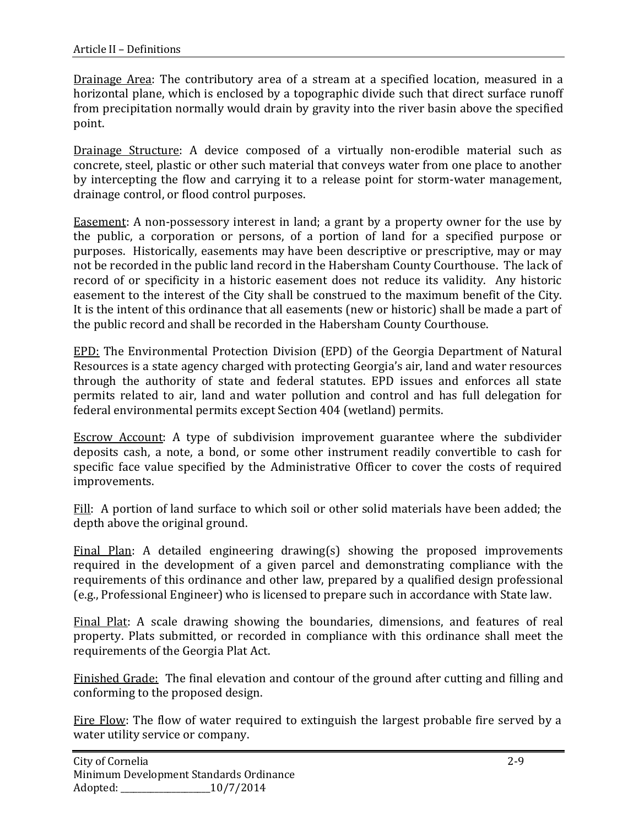Drainage Area: The contributory area of a stream at a specified location, measured in a horizontal plane, which is enclosed by a topographic divide such that direct surface runoff from precipitation normally would drain by gravity into the river basin above the specified point.

Drainage Structure: A device composed of a virtually non-erodible material such as concrete, steel, plastic or other such material that conveys water from one place to another by intercepting the flow and carrying it to a release point for storm-water management, drainage control, or flood control purposes.

Easement: A non-possessory interest in land; a grant by a property owner for the use by the public, a corporation or persons, of a portion of land for a specified purpose or purposes. Historically, easements may have been descriptive or prescriptive, may or may not be recorded in the public land record in the Habersham County Courthouse. The lack of record of or specificity in a historic easement does not reduce its validity. Any historic easement to the interest of the City shall be construed to the maximum benefit of the City. It is the intent of this ordinance that all easements (new or historic) shall be made a part of the public record and shall be recorded in the Habersham County Courthouse.

EPD: The Environmental Protection Division (EPD) of the Georgia Department of Natural Resources is a state agency charged with protecting Georgia's air, land and water resources through the authority of state and federal statutes. EPD issues and enforces all state permits related to air, land and water pollution and control and has full delegation for federal environmental permits except Section 404 (wetland) permits.

Escrow Account: A type of subdivision improvement guarantee where the subdivider deposits cash, a note, a bond, or some other instrument readily convertible to cash for specific face value specified by the Administrative Officer to cover the costs of required improvements.

Fill: A portion of land surface to which soil or other solid materials have been added; the depth above the original ground.

Final Plan: A detailed engineering drawing(s) showing the proposed improvements required in the development of a given parcel and demonstrating compliance with the requirements of this ordinance and other law, prepared by a qualified design professional (e.g., Professional Engineer) who is licensed to prepare such in accordance with State law.

Final Plat: A scale drawing showing the boundaries, dimensions, and features of real property. Plats submitted, or recorded in compliance with this ordinance shall meet the requirements of the Georgia Plat Act.

Finished Grade: The final elevation and contour of the ground after cutting and filling and conforming to the proposed design.

Fire Flow: The flow of water required to extinguish the largest probable fire served by a water utility service or company.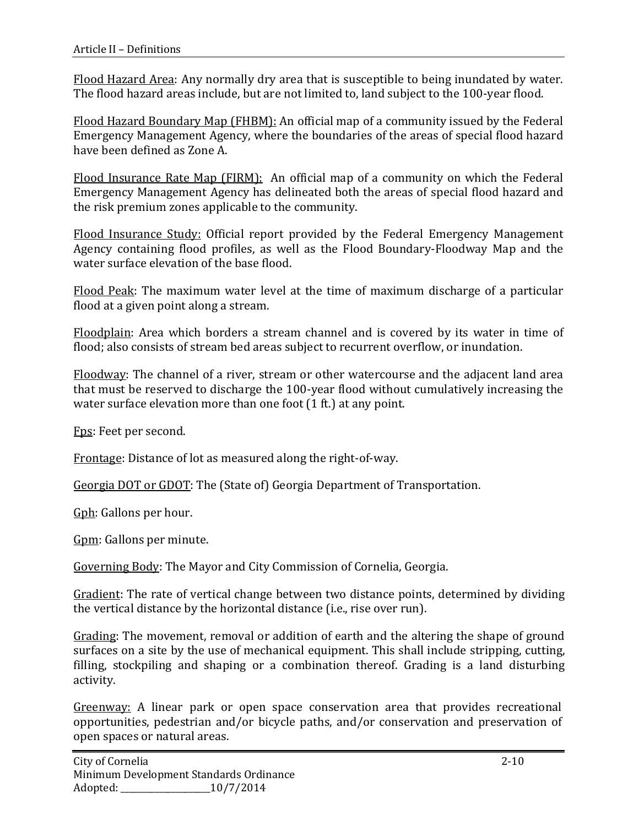Flood Hazard Area: Any normally dry area that is susceptible to being inundated by water. The flood hazard areas include, but are not limited to, land subject to the 100-year flood.

Flood Hazard Boundary Map (FHBM): An official map of a community issued by the Federal Emergency Management Agency, where the boundaries of the areas of special flood hazard have been defined as Zone A.

Flood Insurance Rate Map (FIRM): An official map of a community on which the Federal Emergency Management Agency has delineated both the areas of special flood hazard and the risk premium zones applicable to the community.

Flood Insurance Study: Official report provided by the Federal Emergency Management Agency containing flood profiles, as well as the Flood Boundary-Floodway Map and the water surface elevation of the base flood.

Flood Peak: The maximum water level at the time of maximum discharge of a particular flood at a given point along a stream.

Floodplain: Area which borders a stream channel and is covered by its water in time of flood; also consists of stream bed areas subject to recurrent overflow, or inundation.

Floodway: The channel of a river, stream or other watercourse and the adjacent land area that must be reserved to discharge the 100-year flood without cumulatively increasing the water surface elevation more than one foot (1 ft.) at any point.

Fps: Feet per second.

Frontage: Distance of lot as measured along the right-of-way.

Georgia DOT or GDOT: The (State of) Georgia Department of Transportation.

Gph: Gallons per hour.

Gpm: Gallons per minute.

Governing Body: The Mayor and City Commission of Cornelia, Georgia.

Gradient: The rate of vertical change between two distance points, determined by dividing the vertical distance by the horizontal distance (i.e., rise over run).

Grading: The movement, removal or addition of earth and the altering the shape of ground surfaces on a site by the use of mechanical equipment. This shall include stripping, cutting, filling, stockpiling and shaping or a combination thereof. Grading is a land disturbing activity.

Greenway: A linear park or open space conservation area that provides recreational opportunities, pedestrian and/or bicycle paths, and/or conservation and preservation of open spaces or natural areas.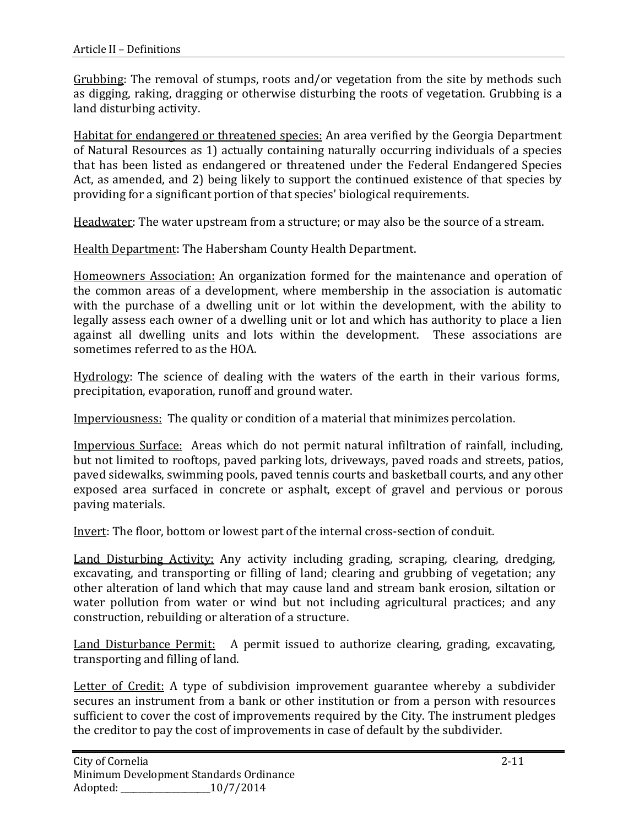Grubbing: The removal of stumps, roots and/or vegetation from the site by methods such as digging, raking, dragging or otherwise disturbing the roots of vegetation. Grubbing is a land disturbing activity.

Habitat for endangered or threatened species: An area verified by the Georgia Department of Natural Resources as 1) actually containing naturally occurring individuals of a species that has been listed as endangered or threatened under the Federal Endangered Species Act, as amended, and 2) being likely to support the continued existence of that species by providing for a significant portion of that species' biological requirements.

Headwater: The water upstream from a structure; or may also be the source of a stream.

Health Department: The Habersham County Health Department.

Homeowners Association: An organization formed for the maintenance and operation of the common areas of a development, where membership in the association is automatic with the purchase of a dwelling unit or lot within the development, with the ability to legally assess each owner of a dwelling unit or lot and which has authority to place a lien against all dwelling units and lots within the development. These associations are sometimes referred to as the HOA.

Hydrology: The science of dealing with the waters of the earth in their various forms, precipitation, evaporation, runoff and ground water.

Imperviousness: The quality or condition of a material that minimizes percolation.

Impervious Surface: Areas which do not permit natural infiltration of rainfall, including, but not limited to rooftops, paved parking lots, driveways, paved roads and streets, patios, paved sidewalks, swimming pools, paved tennis courts and basketball courts, and any other exposed area surfaced in concrete or asphalt, except of gravel and pervious or porous paving materials.

Invert: The floor, bottom or lowest part of the internal cross-section of conduit.

Land Disturbing Activity: Any activity including grading, scraping, clearing, dredging, excavating, and transporting or filling of land; clearing and grubbing of vegetation; any other alteration of land which that may cause land and stream bank erosion, siltation or water pollution from water or wind but not including agricultural practices; and any construction, rebuilding or alteration of a structure.

Land Disturbance Permit: A permit issued to authorize clearing, grading, excavating, transporting and filling of land.

Letter of Credit: A type of subdivision improvement guarantee whereby a subdivider secures an instrument from a bank or other institution or from a person with resources sufficient to cover the cost of improvements required by the City. The instrument pledges the creditor to pay the cost of improvements in case of default by the subdivider.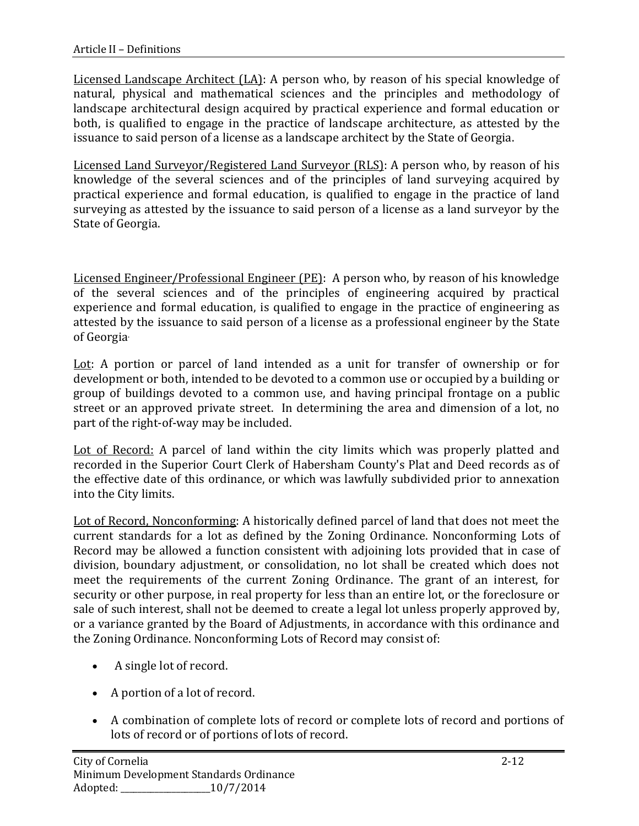Licensed Landscape Architect (LA): A person who, by reason of his special knowledge of natural, physical and mathematical sciences and the principles and methodology of landscape architectural design acquired by practical experience and formal education or both, is qualified to engage in the practice of landscape architecture, as attested by the issuance to said person of a license as a landscape architect by the State of Georgia.

Licensed Land Surveyor/Registered Land Surveyor (RLS): A person who, by reason of his knowledge of the several sciences and of the principles of land surveying acquired by practical experience and formal education, is qualified to engage in the practice of land surveying as attested by the issuance to said person of a license as a land surveyor by the State of Georgia.

Licensed Engineer/Professional Engineer (PE): A person who, by reason of his knowledge of the several sciences and of the principles of engineering acquired by practical experience and formal education, is qualified to engage in the practice of engineering as attested by the issuance to said person of a license as a professional engineer by the State of Georgia.

Lot: A portion or parcel of land intended as a unit for transfer of ownership or for development or both, intended to be devoted to a common use or occupied by a building or group of buildings devoted to a common use, and having principal frontage on a public street or an approved private street. In determining the area and dimension of a lot, no part of the right-of-way may be included.

Lot of Record: A parcel of land within the city limits which was properly platted and recorded in the Superior Court Clerk of Habersham County's Plat and Deed records as of the effective date of this ordinance, or which was lawfully subdivided prior to annexation into the City limits.

Lot of Record, Nonconforming: A historically defined parcel of land that does not meet the current standards for a lot as defined by the Zoning Ordinance. Nonconforming Lots of Record may be allowed a function consistent with adjoining lots provided that in case of division, boundary adjustment, or consolidation, no lot shall be created which does not meet the requirements of the current Zoning Ordinance. The grant of an interest, for security or other purpose, in real property for less than an entire lot, or the foreclosure or sale of such interest, shall not be deemed to create a legal lot unless properly approved by, or a variance granted by the Board of Adjustments, in accordance with this ordinance and the Zoning Ordinance. Nonconforming Lots of Record may consist of:

- A single lot of record.
- A portion of a lot of record.
- A combination of complete lots of record or complete lots of record and portions of lots of record or of portions of lots of record.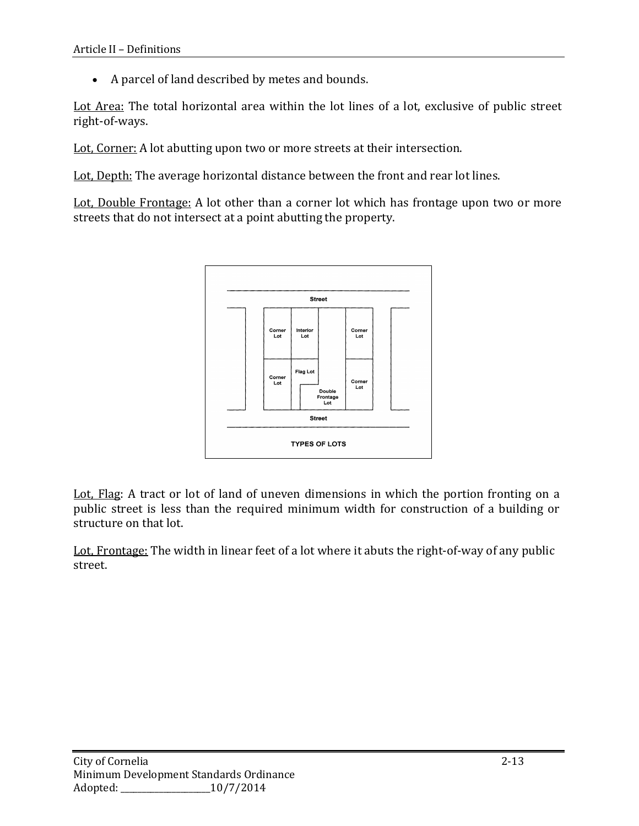• A parcel of land described by metes and bounds.

Lot Area: The total horizontal area within the lot lines of a lot, exclusive of public street right-of-ways.

Lot, Corner: A lot abutting upon two or more streets at their intersection.

Lot, Depth: The average horizontal distance between the front and rear lot lines.

Lot, Double Frontage: A lot other than a corner lot which has frontage upon two or more streets that do not intersect at a point abutting the property.



Lot, Flag: A tract or lot of land of uneven dimensions in which the portion fronting on a public street is less than the required minimum width for construction of a building or structure on that lot.

Lot, Frontage: The width in linear feet of a lot where it abuts the right-of-way of any public street.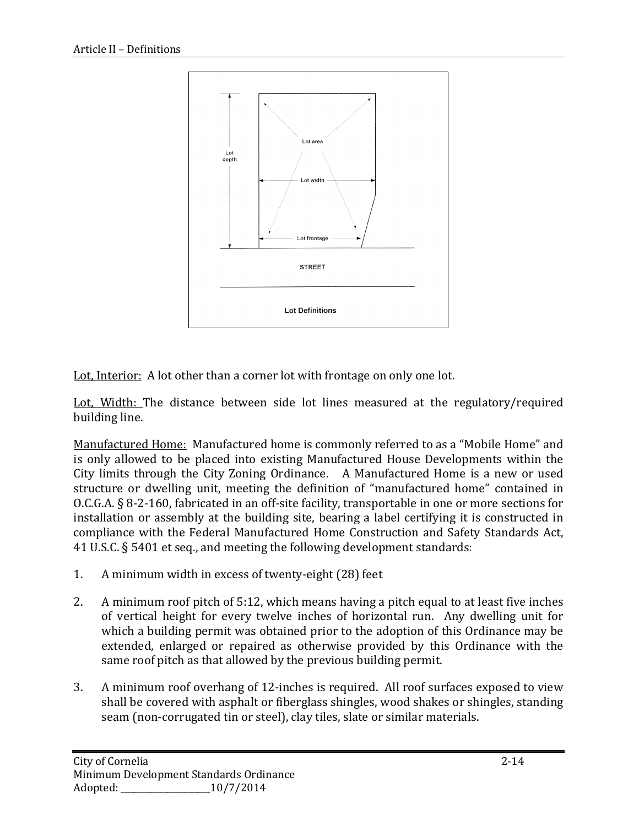

Lot, Interior: A lot other than a corner lot with frontage on only one lot.

Lot, Width: The distance between side lot lines measured at the regulatory/required building line.

Manufactured Home: Manufactured home is commonly referred to as a "Mobile Home" and is only allowed to be placed into existing Manufactured House Developments within the City limits through the City Zoning Ordinance. A Manufactured Home is a new or used structure or dwelling unit, meeting the definition of "manufactured home" contained in O.C.G.A. § 8-2-160, fabricated in an off-site facility, transportable in one or more sections for installation or assembly at the building site, bearing a label certifying it is constructed in compliance with the Federal Manufactured Home Construction and Safety Standards Act, 41 U.S.C. § 5401 et seq., and meeting the following development standards:

- 1. A minimum width in excess of twenty-eight (28) feet
- 2. A minimum roof pitch of 5:12, which means having a pitch equal to at least five inches of vertical height for every twelve inches of horizontal run. Any dwelling unit for which a building permit was obtained prior to the adoption of this Ordinance may be extended, enlarged or repaired as otherwise provided by this Ordinance with the same roof pitch as that allowed by the previous building permit.
- 3. A minimum roof overhang of 12-inches is required. All roof surfaces exposed to view shall be covered with asphalt or fiberglass shingles, wood shakes or shingles, standing seam (non-corrugated tin or steel), clay tiles, slate or similar materials.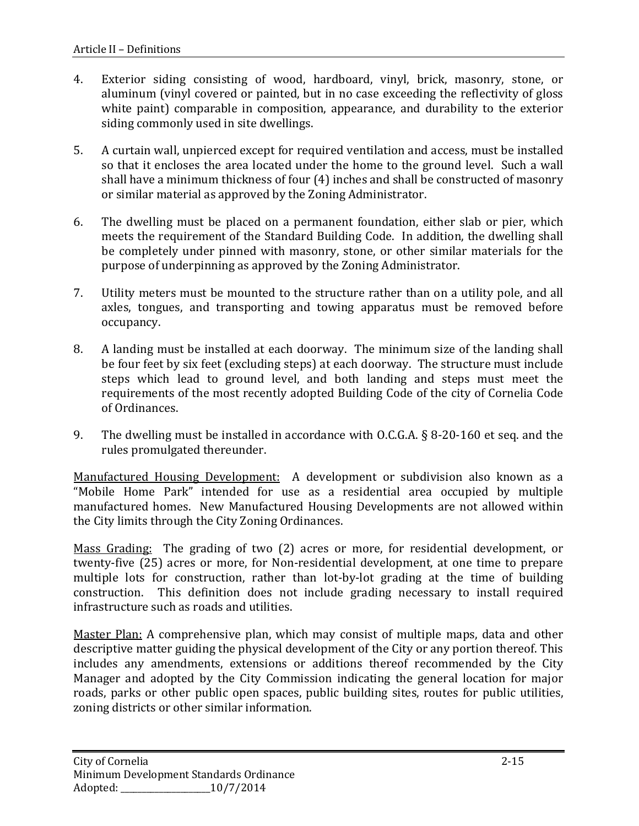- 4. Exterior siding consisting of wood, hardboard, vinyl, brick, masonry, stone, or aluminum (vinyl covered or painted, but in no case exceeding the reflectivity of gloss white paint) comparable in composition, appearance, and durability to the exterior siding commonly used in site dwellings.
- 5. A curtain wall, unpierced except for required ventilation and access, must be installed so that it encloses the area located under the home to the ground level. Such a wall shall have a minimum thickness of four (4) inches and shall be constructed of masonry or similar material as approved by the Zoning Administrator.
- 6. The dwelling must be placed on a permanent foundation, either slab or pier, which meets the requirement of the Standard Building Code. In addition, the dwelling shall be completely under pinned with masonry, stone, or other similar materials for the purpose of underpinning as approved by the Zoning Administrator.
- 7. Utility meters must be mounted to the structure rather than on a utility pole, and all axles, tongues, and transporting and towing apparatus must be removed before occupancy.
- 8. A landing must be installed at each doorway. The minimum size of the landing shall be four feet by six feet (excluding steps) at each doorway. The structure must include steps which lead to ground level, and both landing and steps must meet the requirements of the most recently adopted Building Code of the city of Cornelia Code of Ordinances.
- 9. The dwelling must be installed in accordance with O.C.G.A. § 8-20-160 et seq. and the rules promulgated thereunder.

Manufactured Housing Development: A development or subdivision also known as a "Mobile Home Park" intended for use as a residential area occupied by multiple manufactured homes. New Manufactured Housing Developments are not allowed within the City limits through the City Zoning Ordinances.

Mass Grading: The grading of two (2) acres or more, for residential development, or twenty-five (25) acres or more, for Non-residential development, at one time to prepare multiple lots for construction, rather than lot-by-lot grading at the time of building construction. This definition does not include grading necessary to install required infrastructure such as roads and utilities.

Master Plan: A comprehensive plan, which may consist of multiple maps, data and other descriptive matter guiding the physical development of the City or any portion thereof. This includes any amendments, extensions or additions thereof recommended by the City Manager and adopted by the City Commission indicating the general location for major roads, parks or other public open spaces, public building sites, routes for public utilities, zoning districts or other similar information.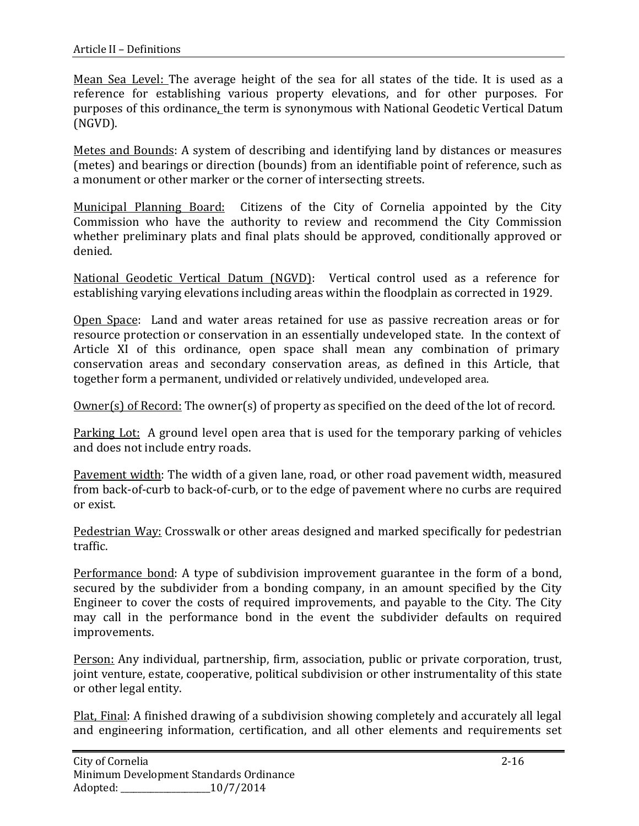Mean Sea Level: The average height of the sea for all states of the tide. It is used as a reference for establishing various property elevations, and for other purposes. For purposes of this ordinance, the term is synonymous with National Geodetic Vertical Datum (NGVD).

Metes and Bounds: A system of describing and identifying land by distances or measures (metes) and bearings or direction (bounds) from an identifiable point of reference, such as a monument or other marker or the corner of intersecting streets.

Municipal Planning Board: Citizens of the City of Cornelia appointed by the City Commission who have the authority to review and recommend the City Commission whether preliminary plats and final plats should be approved, conditionally approved or denied.

National Geodetic Vertical Datum (NGVD): Vertical control used as a reference for establishing varying elevations including areas within the floodplain as corrected in 1929.

Open Space: Land and water areas retained for use as passive recreation areas or for resource protection or conservation in an essentially undeveloped state. In the context of Article XI of this ordinance, open space shall mean any combination of primary conservation areas and secondary conservation areas, as defined in this Article, that together form a permanent, undivided or relatively undivided, undeveloped area.

Owner(s) of Record: The owner(s) of property as specified on the deed of the lot of record.

Parking Lot: A ground level open area that is used for the temporary parking of vehicles and does not include entry roads.

Pavement width: The width of a given lane, road, or other road pavement width, measured from back-of-curb to back-of-curb, or to the edge of pavement where no curbs are required or exist.

Pedestrian Way: Crosswalk or other areas designed and marked specifically for pedestrian traffic.

Performance bond: A type of subdivision improvement guarantee in the form of a bond, secured by the subdivider from a bonding company, in an amount specified by the City Engineer to cover the costs of required improvements, and payable to the City. The City may call in the performance bond in the event the subdivider defaults on required improvements.

Person: Any individual, partnership, firm, association, public or private corporation, trust, joint venture, estate, cooperative, political subdivision or other instrumentality of this state or other legal entity.

Plat, Final: A finished drawing of a subdivision showing completely and accurately all legal and engineering information, certification, and all other elements and requirements set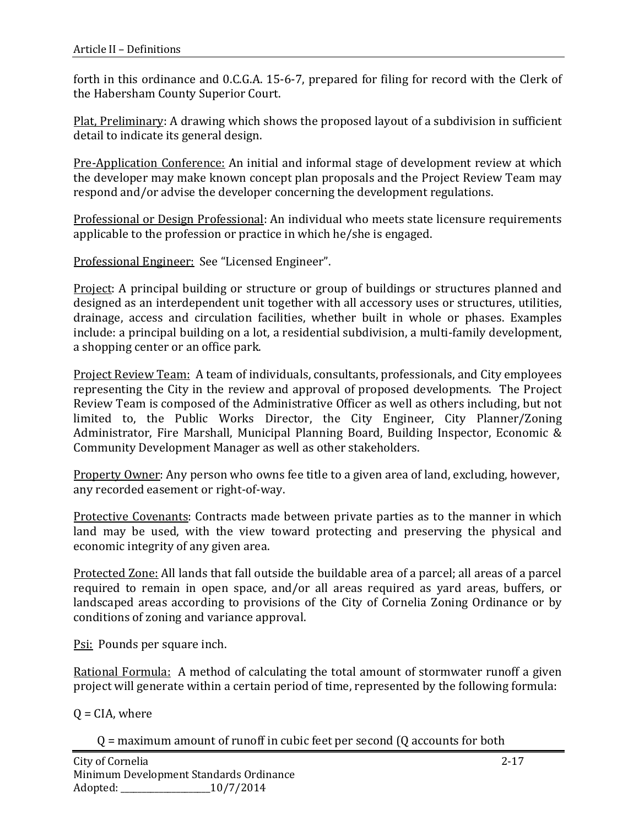forth in this ordinance and 0.C.G.A. 15-6-7, prepared for filing for record with the Clerk of the Habersham County Superior Court.

Plat, Preliminary: A drawing which shows the proposed layout of a subdivision in sufficient detail to indicate its general design.

Pre-Application Conference: An initial and informal stage of development review at which the developer may make known concept plan proposals and the Project Review Team may respond and/or advise the developer concerning the development regulations.

Professional or Design Professional: An individual who meets state licensure requirements applicable to the profession or practice in which he/she is engaged.

Professional Engineer: See "Licensed Engineer".

Project: A principal building or structure or group of buildings or structures planned and designed as an interdependent unit together with all accessory uses or structures, utilities, drainage, access and circulation facilities, whether built in whole or phases. Examples include: a principal building on a lot, a residential subdivision, a multi-family development, a shopping center or an office park.

Project Review Team: A team of individuals, consultants, professionals, and City employees representing the City in the review and approval of proposed developments. The Project Review Team is composed of the Administrative Officer as well as others including, but not limited to, the Public Works Director, the City Engineer, City Planner/Zoning Administrator, Fire Marshall, Municipal Planning Board, Building Inspector, Economic & Community Development Manager as well as other stakeholders.

Property Owner: Any person who owns fee title to a given area of land, excluding, however, any recorded easement or right-of-way.

Protective Covenants: Contracts made between private parties as to the manner in which land may be used, with the view toward protecting and preserving the physical and economic integrity of any given area.

Protected Zone: All lands that fall outside the buildable area of a parcel; all areas of a parcel required to remain in open space, and/or all areas required as yard areas, buffers, or landscaped areas according to provisions of the City of Cornelia Zoning Ordinance or by conditions of zoning and variance approval.

Psi: Pounds per square inch.

Rational Formula: A method of calculating the total amount of stormwater runoff a given project will generate within a certain period of time, represented by the following formula:

 $Q = CIA$ , where

Q = maximum amount of runoff in cubic feet per second (Q accounts for both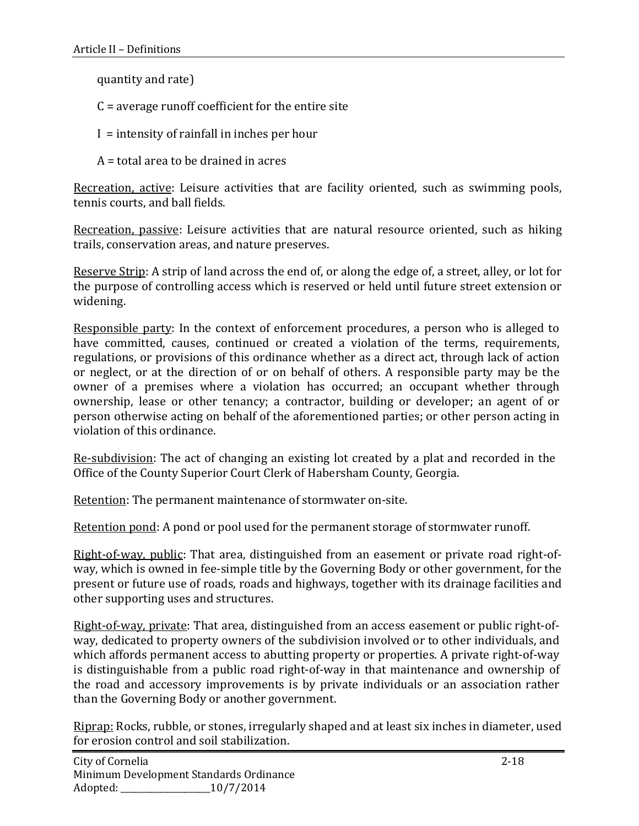quantity and rate)

C = average runoff coefficient for the entire site

- $I =$  intensity of rainfall in inches per hour
- A = total area to be drained in acres

Recreation, active: Leisure activities that are facility oriented, such as swimming pools, tennis courts, and ball fields.

Recreation, passive: Leisure activities that are natural resource oriented, such as hiking trails, conservation areas, and nature preserves.

Reserve Strip: A strip of land across the end of, or along the edge of, a street, alley, or lot for the purpose of controlling access which is reserved or held until future street extension or widening.

Responsible party: In the context of enforcement procedures, a person who is alleged to have committed, causes, continued or created a violation of the terms, requirements, regulations, or provisions of this ordinance whether as a direct act, through lack of action or neglect, or at the direction of or on behalf of others. A responsible party may be the owner of a premises where a violation has occurred; an occupant whether through ownership, lease or other tenancy; a contractor, building or developer; an agent of or person otherwise acting on behalf of the aforementioned parties; or other person acting in violation of this ordinance.

Re-subdivision: The act of changing an existing lot created by a plat and recorded in the Office of the County Superior Court Clerk of Habersham County, Georgia.

Retention: The permanent maintenance of stormwater on-site.

Retention pond: A pond or pool used for the permanent storage of stormwater runoff.

Right-of-way, public: That area, distinguished from an easement or private road right-ofway, which is owned in fee-simple title by the Governing Body or other government, for the present or future use of roads, roads and highways, together with its drainage facilities and other supporting uses and structures.

Right-of-way, private: That area, distinguished from an access easement or public right-ofway, dedicated to property owners of the subdivision involved or to other individuals, and which affords permanent access to abutting property or properties. A private right-of-way is distinguishable from a public road right-of-way in that maintenance and ownership of the road and accessory improvements is by private individuals or an association rather than the Governing Body or another government.

Riprap: Rocks, rubble, or stones, irregularly shaped and at least six inches in diameter, used for erosion control and soil stabilization.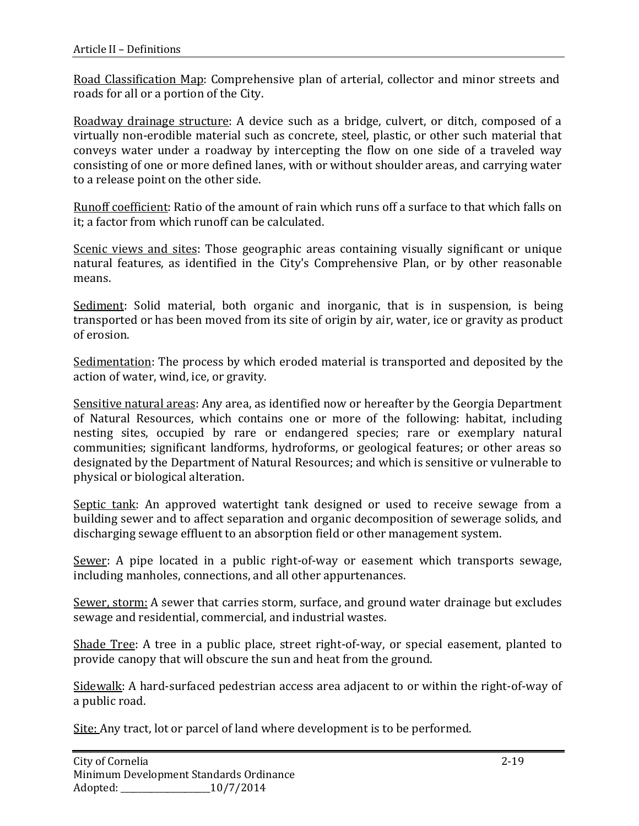Road Classification Map: Comprehensive plan of arterial, collector and minor streets and roads for all or a portion of the City.

Roadway drainage structure: A device such as a bridge, culvert, or ditch, composed of a virtually non-erodible material such as concrete, steel, plastic, or other such material that conveys water under a roadway by intercepting the flow on one side of a traveled way consisting of one or more defined lanes, with or without shoulder areas, and carrying water to a release point on the other side.

Runoff coefficient: Ratio of the amount of rain which runs off a surface to that which falls on it; a factor from which runoff can be calculated.

Scenic views and sites: Those geographic areas containing visually significant or unique natural features, as identified in the City's Comprehensive Plan, or by other reasonable means.

Sediment: Solid material, both organic and inorganic, that is in suspension, is being transported or has been moved from its site of origin by air, water, ice or gravity as product of erosion.

Sedimentation: The process by which eroded material is transported and deposited by the action of water, wind, ice, or gravity.

Sensitive natural areas: Any area, as identified now or hereafter by the Georgia Department of Natural Resources, which contains one or more of the following: habitat, including nesting sites, occupied by rare or endangered species; rare or exemplary natural communities; significant landforms, hydroforms, or geological features; or other areas so designated by the Department of Natural Resources; and which is sensitive or vulnerable to physical or biological alteration.

Septic tank: An approved watertight tank designed or used to receive sewage from a building sewer and to affect separation and organic decomposition of sewerage solids, and discharging sewage effluent to an absorption field or other management system.

Sewer: A pipe located in a public right-of-way or easement which transports sewage, including manholes, connections, and all other appurtenances.

Sewer, storm: A sewer that carries storm, surface, and ground water drainage but excludes sewage and residential, commercial, and industrial wastes.

Shade Tree: A tree in a public place, street right-of-way, or special easement, planted to provide canopy that will obscure the sun and heat from the ground.

Sidewalk: A hard-surfaced pedestrian access area adjacent to or within the right-of-way of a public road.

Site: Any tract, lot or parcel of land where development is to be performed.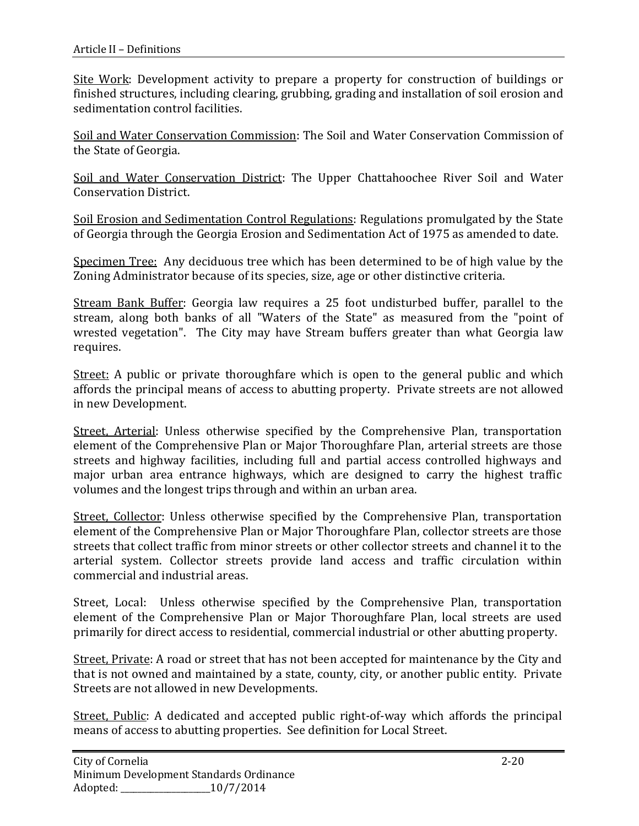Site Work: Development activity to prepare a property for construction of buildings or finished structures, including clearing, grubbing, grading and installation of soil erosion and sedimentation control facilities.

Soil and Water Conservation Commission: The Soil and Water Conservation Commission of the State of Georgia.

Soil and Water Conservation District: The Upper Chattahoochee River Soil and Water Conservation District.

Soil Erosion and Sedimentation Control Regulations: Regulations promulgated by the State of Georgia through the Georgia Erosion and Sedimentation Act of 1975 as amended to date.

Specimen Tree: Any deciduous tree which has been determined to be of high value by the Zoning Administrator because of its species, size, age or other distinctive criteria.

Stream Bank Buffer: Georgia law requires a 25 foot undisturbed buffer, parallel to the stream, along both banks of all "Waters of the State" as measured from the "point of wrested vegetation". The City may have Stream buffers greater than what Georgia law requires.

Street: A public or private thoroughfare which is open to the general public and which affords the principal means of access to abutting property. Private streets are not allowed in new Development.

Street, Arterial: Unless otherwise specified by the Comprehensive Plan, transportation element of the Comprehensive Plan or Major Thoroughfare Plan, arterial streets are those streets and highway facilities, including full and partial access controlled highways and major urban area entrance highways, which are designed to carry the highest traffic volumes and the longest trips through and within an urban area.

Street, Collector: Unless otherwise specified by the Comprehensive Plan, transportation element of the Comprehensive Plan or Major Thoroughfare Plan, collector streets are those streets that collect traffic from minor streets or other collector streets and channel it to the arterial system. Collector streets provide land access and traffic circulation within commercial and industrial areas.

Street, Local: Unless otherwise specified by the Comprehensive Plan, transportation element of the Comprehensive Plan or Major Thoroughfare Plan, local streets are used primarily for direct access to residential, commercial industrial or other abutting property.

Street, Private: A road or street that has not been accepted for maintenance by the City and that is not owned and maintained by a state, county, city, or another public entity. Private Streets are not allowed in new Developments.

Street, Public: A dedicated and accepted public right-of-way which affords the principal means of access to abutting properties. See definition for Local Street.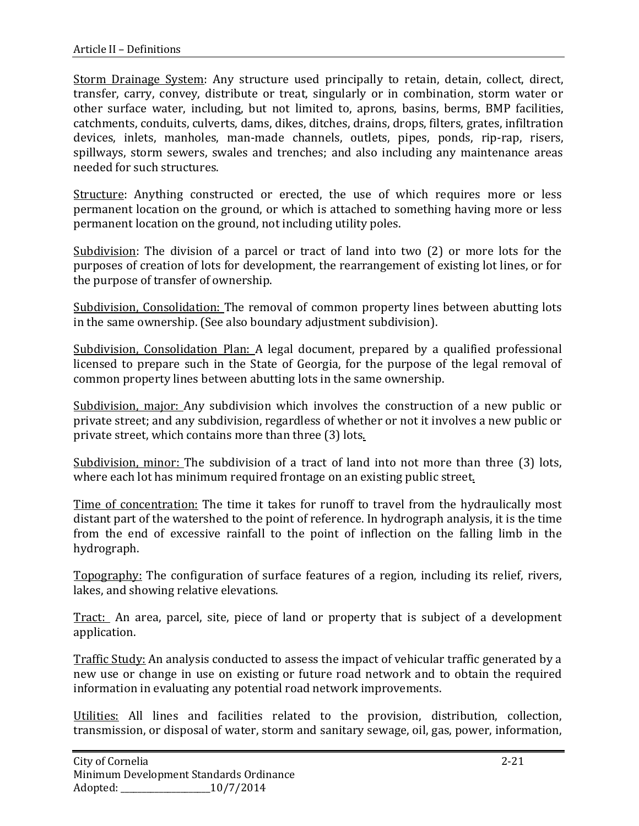Storm Drainage System: Any structure used principally to retain, detain, collect, direct, transfer, carry, convey, distribute or treat, singularly or in combination, storm water or other surface water, including, but not limited to, aprons, basins, berms, BMP facilities, catchments, conduits, culverts, dams, dikes, ditches, drains, drops, filters, grates, infiltration devices, inlets, manholes, man-made channels, outlets, pipes, ponds, rip-rap, risers, spillways, storm sewers, swales and trenches; and also including any maintenance areas needed for such structures.

Structure: Anything constructed or erected, the use of which requires more or less permanent location on the ground, or which is attached to something having more or less permanent location on the ground, not including utility poles.

Subdivision: The division of a parcel or tract of land into two (2) or more lots for the purposes of creation of lots for development, the rearrangement of existing lot lines, or for the purpose of transfer of ownership.

Subdivision, Consolidation: The removal of common property lines between abutting lots in the same ownership. (See also boundary adjustment subdivision).

Subdivision, Consolidation Plan: A legal document, prepared by a qualified professional licensed to prepare such in the State of Georgia, for the purpose of the legal removal of common property lines between abutting lots in the same ownership.

Subdivision, major: Any subdivision which involves the construction of a new public or private street; and any subdivision, regardless of whether or not it involves a new public or private street, which contains more than three (3) lots.

Subdivision, minor: The subdivision of a tract of land into not more than three (3) lots, where each lot has minimum required frontage on an existing public street.

Time of concentration: The time it takes for runoff to travel from the hydraulically most distant part of the watershed to the point of reference. In hydrograph analysis, it is the time from the end of excessive rainfall to the point of inflection on the falling limb in the hydrograph.

Topography: The configuration of surface features of a region, including its relief, rivers, lakes, and showing relative elevations.

Tract: An area, parcel, site, piece of land or property that is subject of a development application.

Traffic Study: An analysis conducted to assess the impact of vehicular traffic generated by a new use or change in use on existing or future road network and to obtain the required information in evaluating any potential road network improvements.

Utilities: All lines and facilities related to the provision, distribution, collection, transmission, or disposal of water, storm and sanitary sewage, oil, gas, power, information,